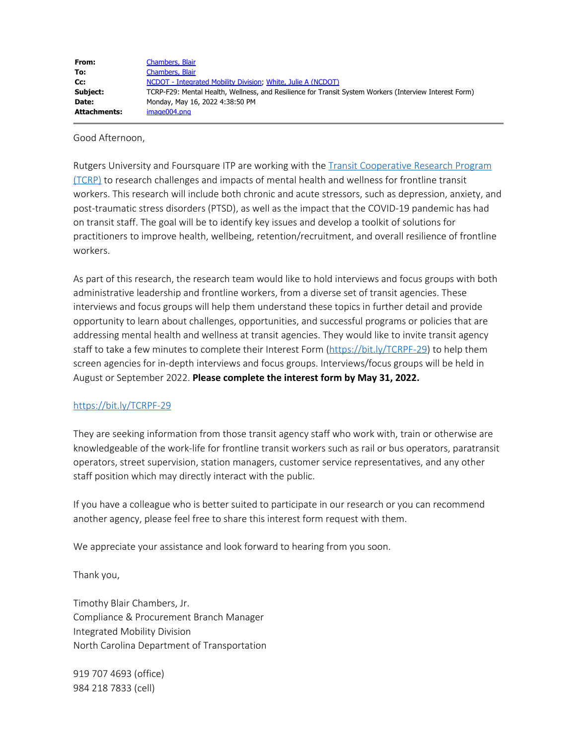| From:        | Chambers, Blair                                                                                        |
|--------------|--------------------------------------------------------------------------------------------------------|
| To:          | Chambers, Blair                                                                                        |
| Cc:          | NCDOT - Integrated Mobility Division, White, Julie A (NCDOT)                                           |
| Subject:     | TCRP-F29: Mental Health, Wellness, and Resilience for Transit System Workers (Interview Interest Form) |
| Date:        | Monday, May 16, 2022 4:38:50 PM                                                                        |
| Attachments: | image004.png                                                                                           |

Good Afternoon,

Rutgers University and Foursquare ITP are working with the **Transit Cooperative Research Program** [\(TCRP\)](https://urldefense.com/v3/__https:/apps.trb.org/cmsfeed/TRBNetProjectDisplay.asp?ProjectID=5069__;!!HYmSToo!ceKV0mNmJyTY03IOMVD_FasglXSa3BPgEY9pzAYMaqNjbTIaHOE7jxW8Gs3Wuyc5lpRGZ4scWQNcaWn_xcgyLS8vddc$) to research challenges and impacts of mental health and wellness for frontline transit workers. This research will include both chronic and acute stressors, such as depression, anxiety, and post-traumatic stress disorders (PTSD), as well as the impact that the COVID-19 pandemic has had on transit staff. The goal will be to identify key issues and develop a toolkit of solutions for practitioners to improve health, wellbeing, retention/recruitment, and overall resilience of frontline workers.

As part of this research, the research team would like to hold interviews and focus groups with both administrative leadership and frontline workers, from a diverse set of transit agencies. These interviews and focus groups will help them understand these topics in further detail and provide opportunity to learn about challenges, opportunities, and successful programs or policies that are addressing mental health and wellness at transit agencies. They would like to invite transit agency staff to take a few minutes to complete their Interest Form [\(https://bit.ly/TCRPF-29](https://urldefense.com/v3/__https:/bit.ly/TCRPF-29__;!!HYmSToo!ceKV0mNmJyTY03IOMVD_FasglXSa3BPgEY9pzAYMaqNjbTIaHOE7jxW8Gs3Wuyc5lpRGZ4scWQNcaWn_xcgydslg7tc$)) to help them screen agencies for in-depth interviews and focus groups. Interviews/focus groups will be held in August or September 2022. **Please complete the interest form by May 31, 2022.**

## [https://bit.ly/TCRPF-29](https://urldefense.com/v3/__https:/bit.ly/TCRPF-29__;!!HYmSToo!ceKV0mNmJyTY03IOMVD_FasglXSa3BPgEY9pzAYMaqNjbTIaHOE7jxW8Gs3Wuyc5lpRGZ4scWQNcaWn_xcgydslg7tc$)

They are seeking information from those transit agency staff who work with, train or otherwise are knowledgeable of the work-life for frontline transit workers such as rail or bus operators, paratransit operators, street supervision, station managers, customer service representatives, and any other staff position which may directly interact with the public.

If you have a colleague who is better suited to participate in our research or you can recommend another agency, please feel free to share this interest form request with them.

We appreciate your assistance and look forward to hearing from you soon.

Thank you,

Timothy Blair Chambers, Jr. Compliance & Procurement Branch Manager Integrated Mobility Division North Carolina Department of Transportation

919 707 4693 (office) 984 218 7833 (cell)